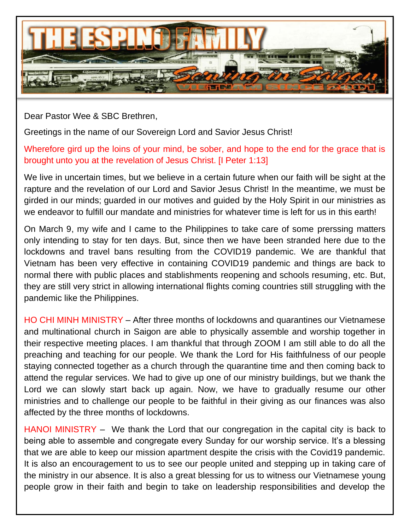

Dear Pastor Wee & SBC Brethren,

Greetings in the name of our Sovereign Lord and Savior Jesus Christ!

## Wherefore gird up the loins of your mind, be sober, and hope to the end for the grace that is brought unto you at the revelation of Jesus Christ. [I Peter 1:13]

We live in uncertain times, but we believe in a certain future when our faith will be sight at the rapture and the revelation of our Lord and Savior Jesus Christ! In the meantime, we must be girded in our minds; guarded in our motives and guided by the Holy Spirit in our ministries as we endeavor to fulfill our mandate and ministries for whatever time is left for us in this earth!

On March 9, my wife and I came to the Philippines to take care of some prerssing matters only intending to stay for ten days. But, since then we have been stranded here due to the lockdowns and travel bans resulting from the COVID19 pandemic. We are thankful that Vietnam has been very effective in containing COVID19 pandemic and things are back to normal there with public places and stablishments reopening and schools resuming, etc. But, they are still very strict in allowing international flights coming countries still struggling with the pandemic like the Philippines.

HO CHI MINH MINISTRY – After three months of lockdowns and quarantines our Vietnamese and multinational church in Saigon are able to physically assemble and worship together in their respective meeting places. I am thankful that through ZOOM I am still able to do all the preaching and teaching for our people. We thank the Lord for His faithfulness of our people staying connected together as a church through the quarantine time and then coming back to attend the regular services. We had to give up one of our ministry buildings, but we thank the Lord we can slowly start back up again. Now, we have to gradually resume our other ministries and to challenge our people to be faithful in their giving as our finances was also affected by the three months of lockdowns.

HANOI MINISTRY – We thank the Lord that our congregation in the capital city is back to being able to assemble and congregate every Sunday for our worship service. It's a blessing that we are able to keep our mission apartment despite the crisis with the Covid19 pandemic. It is also an encouragement to us to see our people united and stepping up in taking care of the ministry in our absence. It is also a great blessing for us to witness our Vietnamese young people grow in their faith and begin to take on leadership responsibilities and develop the